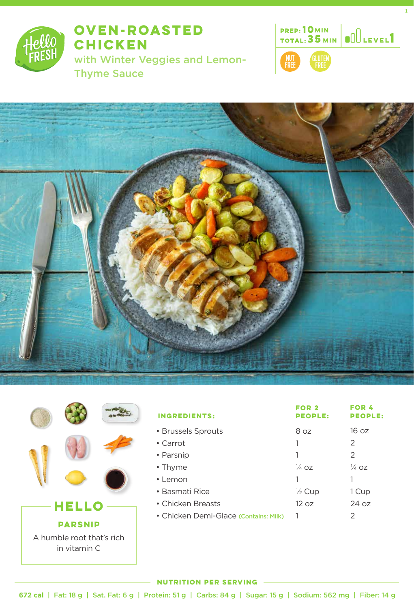

# **OVEN-ROASTED CHICKEN**

with Winter Veggies and Lemon-Thyme Sauce



1





| <b>INGREDIENTS:</b>                   | FOR <sub>2</sub><br><b>PEOPLE:</b> | <b>FOR 4</b><br><b>PEOPLE:</b> |
|---------------------------------------|------------------------------------|--------------------------------|
| • Brussels Sprouts                    | 8 oz                               | 1607                           |
| • Carrot                              | 1                                  | 2                              |
| • Parsnip                             | 1                                  | $\mathcal{P}$                  |
| • Thyme                               | $\frac{1}{4}$ 07                   | $\frac{1}{4}$ OZ               |
| $\cdot$   emon                        | 1                                  |                                |
| $\bullet$ Basmati Rice                | $\frac{1}{2}$ Cup                  | 1 Cup                          |
| • Chicken Breasts                     | 1207                               | 24 oz                          |
| • Chicken Demi-Glace (Contains: Milk) |                                    | 2                              |
|                                       |                                    |                                |

#### **NUTRITION PER SERVING**